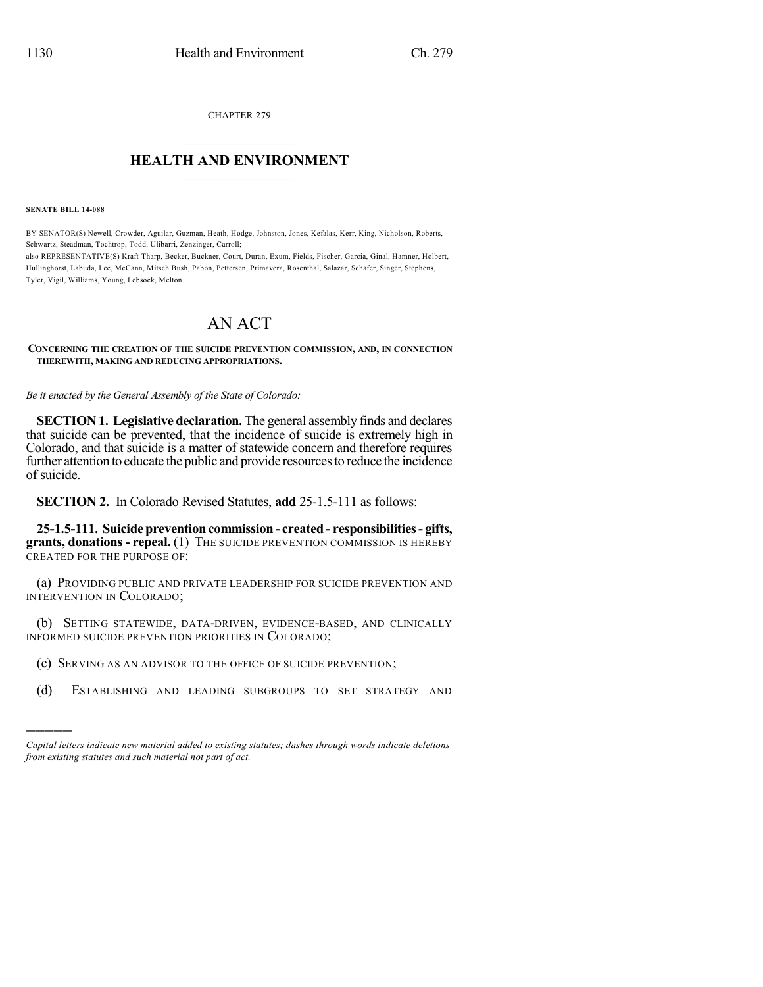CHAPTER 279  $\overline{\phantom{a}}$  . The set of the set of the set of the set of the set of the set of the set of the set of the set of the set of the set of the set of the set of the set of the set of the set of the set of the set of the set o

## **HEALTH AND ENVIRONMENT**  $\_$

**SENATE BILL 14-088**

)))))

BY SENATOR(S) Newell, Crowder, Aguilar, Guzman, Heath, Hodge, Johnston, Jones, Kefalas, Kerr, King, Nicholson, Roberts, Schwartz, Steadman, Tochtrop, Todd, Ulibarri, Zenzinger, Carroll; also REPRESENTATIVE(S) Kraft-Tharp, Becker, Buckner, Court, Duran, Exum, Fields, Fischer, Garcia, Ginal, Hamner, Holbert, Hullinghorst, Labuda, Lee, McCann, Mitsch Bush, Pabon, Pettersen, Primavera, Rosenthal, Salazar, Schafer, Singer, Stephens, Tyler, Vigil, Williams, Young, Lebsock, Melton.

## AN ACT

**CONCERNING THE CREATION OF THE SUICIDE PREVENTION COMMISSION, AND, IN CONNECTION THEREWITH, MAKING AND REDUCING APPROPRIATIONS.**

*Be it enacted by the General Assembly of the State of Colorado:*

**SECTION 1. Legislative declaration.** The general assembly finds and declares that suicide can be prevented, that the incidence of suicide is extremely high in Colorado, and that suicide is a matter of statewide concern and therefore requires further attention to educate the public and provide resources to reduce the incidence of suicide.

**SECTION 2.** In Colorado Revised Statutes, **add** 25-1.5-111 as follows:

**25-1.5-111. Suicide prevention commission - created - responsibilities- gifts, grants, donations- repeal.** (1) THE SUICIDE PREVENTION COMMISSION IS HEREBY CREATED FOR THE PURPOSE OF:

(a) PROVIDING PUBLIC AND PRIVATE LEADERSHIP FOR SUICIDE PREVENTION AND INTERVENTION IN COLORADO;

(b) SETTING STATEWIDE, DATA-DRIVEN, EVIDENCE-BASED, AND CLINICALLY INFORMED SUICIDE PREVENTION PRIORITIES IN COLORADO;

- (c) SERVING AS AN ADVISOR TO THE OFFICE OF SUICIDE PREVENTION;
- (d) ESTABLISHING AND LEADING SUBGROUPS TO SET STRATEGY AND

*Capital letters indicate new material added to existing statutes; dashes through words indicate deletions from existing statutes and such material not part of act.*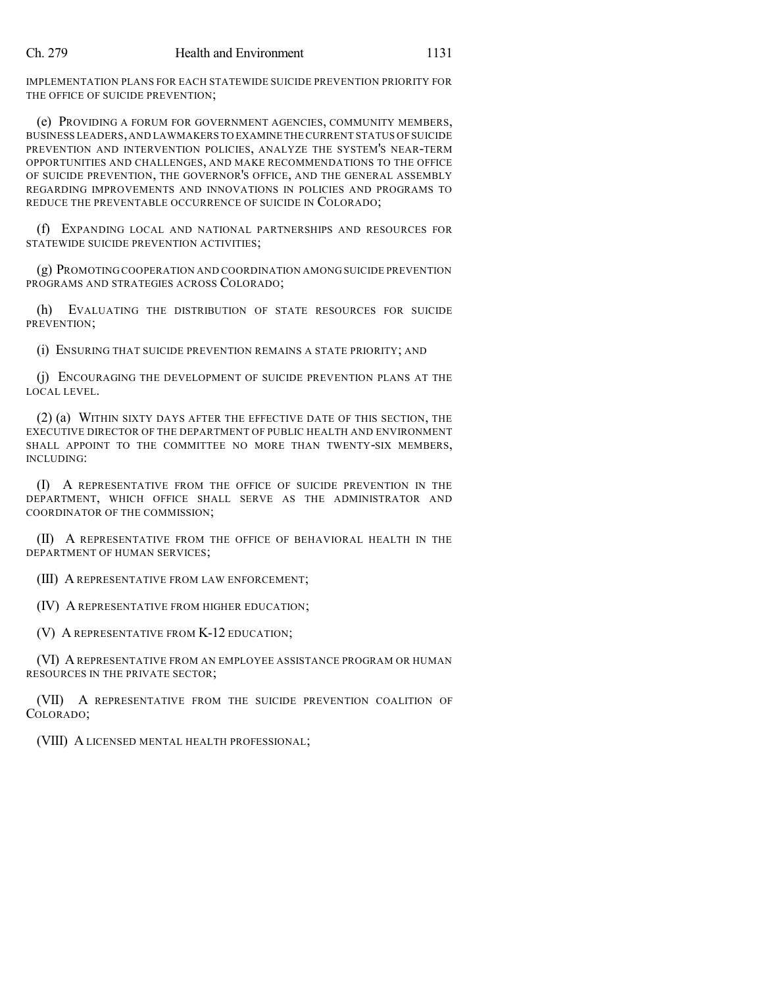IMPLEMENTATION PLANS FOR EACH STATEWIDE SUICIDE PREVENTION PRIORITY FOR THE OFFICE OF SUICIDE PREVENTION;

(e) PROVIDING A FORUM FOR GOVERNMENT AGENCIES, COMMUNITY MEMBERS, BUSINESS LEADERS,AND LAWMAKERS TO EXAMINE THE CURRENT STATUS OF SUICIDE PREVENTION AND INTERVENTION POLICIES, ANALYZE THE SYSTEM'S NEAR-TERM OPPORTUNITIES AND CHALLENGES, AND MAKE RECOMMENDATIONS TO THE OFFICE OF SUICIDE PREVENTION, THE GOVERNOR'S OFFICE, AND THE GENERAL ASSEMBLY REGARDING IMPROVEMENTS AND INNOVATIONS IN POLICIES AND PROGRAMS TO REDUCE THE PREVENTABLE OCCURRENCE OF SUICIDE IN COLORADO;

(f) EXPANDING LOCAL AND NATIONAL PARTNERSHIPS AND RESOURCES FOR STATEWIDE SUICIDE PREVENTION ACTIVITIES;

(g) PROMOTING COOPERATION AND COORDINATION AMONG SUICIDE PREVENTION PROGRAMS AND STRATEGIES ACROSS COLORADO;

(h) EVALUATING THE DISTRIBUTION OF STATE RESOURCES FOR SUICIDE PREVENTION;

(i) ENSURING THAT SUICIDE PREVENTION REMAINS A STATE PRIORITY; AND

(j) ENCOURAGING THE DEVELOPMENT OF SUICIDE PREVENTION PLANS AT THE LOCAL LEVEL.

(2) (a) WITHIN SIXTY DAYS AFTER THE EFFECTIVE DATE OF THIS SECTION, THE EXECUTIVE DIRECTOR OF THE DEPARTMENT OF PUBLIC HEALTH AND ENVIRONMENT SHALL APPOINT TO THE COMMITTEE NO MORE THAN TWENTY-SIX MEMBERS, INCLUDING:

(I) A REPRESENTATIVE FROM THE OFFICE OF SUICIDE PREVENTION IN THE DEPARTMENT, WHICH OFFICE SHALL SERVE AS THE ADMINISTRATOR AND COORDINATOR OF THE COMMISSION;

(II) A REPRESENTATIVE FROM THE OFFICE OF BEHAVIORAL HEALTH IN THE DEPARTMENT OF HUMAN SERVICES;

(III) A REPRESENTATIVE FROM LAW ENFORCEMENT;

(IV) A REPRESENTATIVE FROM HIGHER EDUCATION;

(V) A REPRESENTATIVE FROM K-12 EDUCATION;

(VI) A REPRESENTATIVE FROM AN EMPLOYEE ASSISTANCE PROGRAM OR HUMAN RESOURCES IN THE PRIVATE SECTOR;

(VII) A REPRESENTATIVE FROM THE SUICIDE PREVENTION COALITION OF COLORADO;

(VIII) A LICENSED MENTAL HEALTH PROFESSIONAL;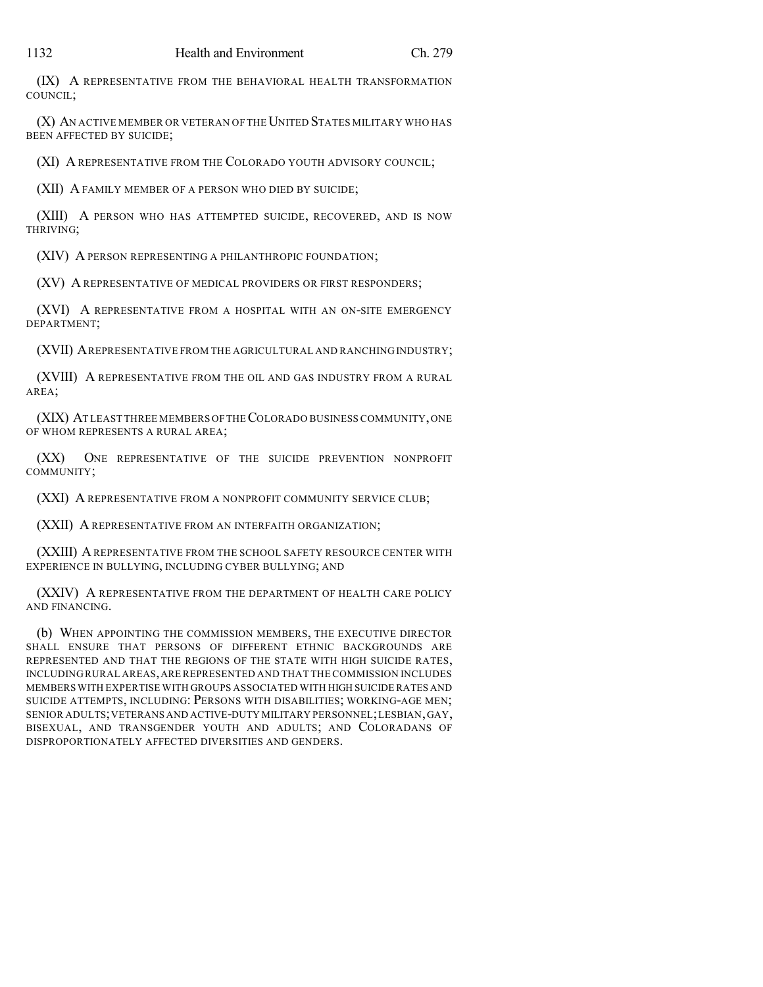(IX) A REPRESENTATIVE FROM THE BEHAVIORAL HEALTH TRANSFORMATION

(X) AN ACTIVE MEMBER OR VETERAN OF THE UNITED STATES MILITARY WHO HAS BEEN AFFECTED BY SUICIDE;

(XI) A REPRESENTATIVE FROM THE COLORADO YOUTH ADVISORY COUNCIL;

(XII) A FAMILY MEMBER OF A PERSON WHO DIED BY SUICIDE;

(XIII) A PERSON WHO HAS ATTEMPTED SUICIDE, RECOVERED, AND IS NOW THRIVING;

(XIV) A PERSON REPRESENTING A PHILANTHROPIC FOUNDATION;

(XV) A REPRESENTATIVE OF MEDICAL PROVIDERS OR FIRST RESPONDERS;

(XVI) A REPRESENTATIVE FROM A HOSPITAL WITH AN ON-SITE EMERGENCY DEPARTMENT;

(XVII) AREPRESENTATIVE FROM THE AGRICULTURAL AND RANCHING INDUSTRY;

(XVIII) A REPRESENTATIVE FROM THE OIL AND GAS INDUSTRY FROM A RURAL AREA;

(XIX) AT LEAST THREE MEMBERS OF THECOLORADO BUSINESS COMMUNITY,ONE OF WHOM REPRESENTS A RURAL AREA;

(XX) ONE REPRESENTATIVE OF THE SUICIDE PREVENTION NONPROFIT COMMUNITY;

(XXI) A REPRESENTATIVE FROM A NONPROFIT COMMUNITY SERVICE CLUB;

(XXII) A REPRESENTATIVE FROM AN INTERFAITH ORGANIZATION;

(XXIII) AREPRESENTATIVE FROM THE SCHOOL SAFETY RESOURCE CENTER WITH EXPERIENCE IN BULLYING, INCLUDING CYBER BULLYING; AND

(XXIV) A REPRESENTATIVE FROM THE DEPARTMENT OF HEALTH CARE POLICY AND FINANCING.

(b) WHEN APPOINTING THE COMMISSION MEMBERS, THE EXECUTIVE DIRECTOR SHALL ENSURE THAT PERSONS OF DIFFERENT ETHNIC BACKGROUNDS ARE REPRESENTED AND THAT THE REGIONS OF THE STATE WITH HIGH SUICIDE RATES, INCLUDING RURAL AREAS,AREREPRESENTED AND THAT THE COMMISSION INCLUDES MEMBERS WITH EXPERTISE WITH GROUPS ASSOCIATED WITH HIGH SUICIDE RATES AND SUICIDE ATTEMPTS, INCLUDING: PERSONS WITH DISABILITIES; WORKING-AGE MEN; SENIOR ADULTS;VETERANS AND ACTIVE-DUTY MILITARY PERSONNEL;LESBIAN,GAY, BISEXUAL, AND TRANSGENDER YOUTH AND ADULTS; AND COLORADANS OF DISPROPORTIONATELY AFFECTED DIVERSITIES AND GENDERS.

COUNCIL;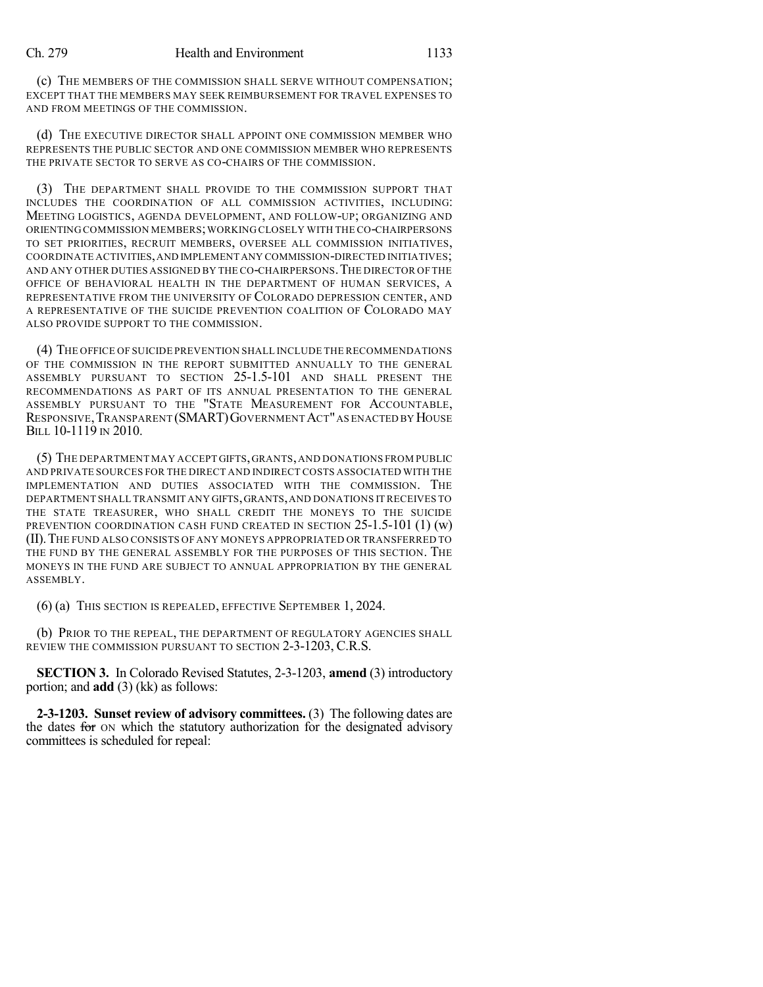(c) THE MEMBERS OF THE COMMISSION SHALL SERVE WITHOUT COMPENSATION; EXCEPT THAT THE MEMBERS MAY SEEK REIMBURSEMENT FOR TRAVEL EXPENSES TO AND FROM MEETINGS OF THE COMMISSION.

(d) THE EXECUTIVE DIRECTOR SHALL APPOINT ONE COMMISSION MEMBER WHO REPRESENTS THE PUBLIC SECTOR AND ONE COMMISSION MEMBER WHO REPRESENTS THE PRIVATE SECTOR TO SERVE AS CO-CHAIRS OF THE COMMISSION.

(3) THE DEPARTMENT SHALL PROVIDE TO THE COMMISSION SUPPORT THAT INCLUDES THE COORDINATION OF ALL COMMISSION ACTIVITIES, INCLUDING: MEETING LOGISTICS, AGENDA DEVELOPMENT, AND FOLLOW-UP; ORGANIZING AND ORIENTING COMMISSION MEMBERS;WORKING CLOSELY WITH THE CO-CHAIRPERSONS TO SET PRIORITIES, RECRUIT MEMBERS, OVERSEE ALL COMMISSION INITIATIVES, COORDINATE ACTIVITIES,AND IMPLEMENT ANY COMMISSION-DIRECTED INITIATIVES; AND ANY OTHER DUTIES ASSIGNED BY THE CO-CHAIRPERSONS.THE DIRECTOR OF THE OFFICE OF BEHAVIORAL HEALTH IN THE DEPARTMENT OF HUMAN SERVICES, A REPRESENTATIVE FROM THE UNIVERSITY OF COLORADO DEPRESSION CENTER, AND A REPRESENTATIVE OF THE SUICIDE PREVENTION COALITION OF COLORADO MAY ALSO PROVIDE SUPPORT TO THE COMMISSION.

(4) THE OFFICE OF SUICIDE PREVENTION SHALL INCLUDE THE RECOMMENDATIONS OF THE COMMISSION IN THE REPORT SUBMITTED ANNUALLY TO THE GENERAL ASSEMBLY PURSUANT TO SECTION 25-1.5-101 AND SHALL PRESENT THE RECOMMENDATIONS AS PART OF ITS ANNUAL PRESENTATION TO THE GENERAL ASSEMBLY PURSUANT TO THE "STATE MEASUREMENT FOR ACCOUNTABLE, RESPONSIVE, TRANSPARENT (SMART) GOVERNMENT ACT" AS ENACTED BY HOUSE BILL 10-1119 IN 2010.

(5) THE DEPARTMENT MAY ACCEPT GIFTS,GRANTS,AND DONATIONS FROM PUBLIC AND PRIVATE SOURCES FOR THE DIRECT AND INDIRECT COSTS ASSOCIATED WITH THE IMPLEMENTATION AND DUTIES ASSOCIATED WITH THE COMMISSION. THE DEPARTMENT SHALL TRANSMIT ANY GIFTS,GRANTS,AND DONATIONS IT RECEIVES TO THE STATE TREASURER, WHO SHALL CREDIT THE MONEYS TO THE SUICIDE PREVENTION COORDINATION CASH FUND CREATED IN SECTION 25-1.5-101 (1) (w) (II).THE FUND ALSO CONSISTS OF ANY MONEYS APPROPRIATED OR TRANSFERRED TO THE FUND BY THE GENERAL ASSEMBLY FOR THE PURPOSES OF THIS SECTION. THE MONEYS IN THE FUND ARE SUBJECT TO ANNUAL APPROPRIATION BY THE GENERAL ASSEMBLY.

(6) (a) THIS SECTION IS REPEALED, EFFECTIVE SEPTEMBER 1, 2024.

(b) PRIOR TO THE REPEAL, THE DEPARTMENT OF REGULATORY AGENCIES SHALL REVIEW THE COMMISSION PURSUANT TO SECTION 2-3-1203, C.R.S.

**SECTION 3.** In Colorado Revised Statutes, 2-3-1203, **amend** (3) introductory portion; and **add** (3) (kk) as follows:

**2-3-1203. Sunset review of advisory committees.** (3) The following dates are the dates for ON which the statutory authorization for the designated advisory committees is scheduled for repeal: